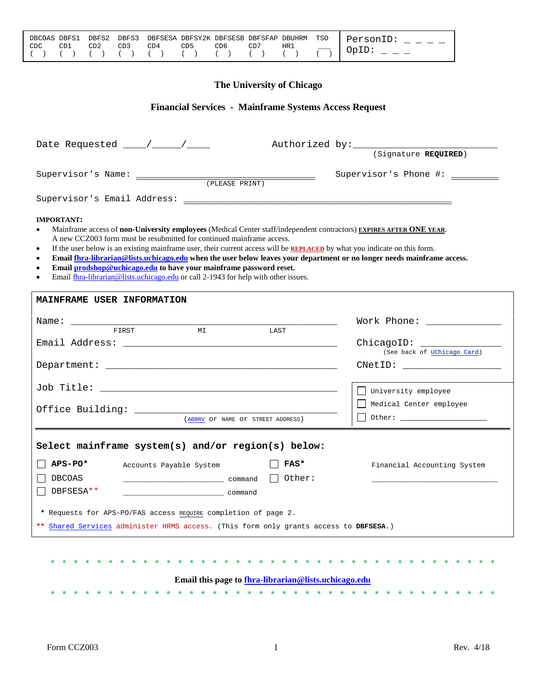| HR1<br>CD6 CD7<br>' CDC<br>CD5 | DECOAS DEFS1 DEFS2 DEFS3 DEFSESA DEFSY2K DEFSESB DEFSFAP DEUHRM TSO   PersonID: |  |  |  |  |  |
|--------------------------------|---------------------------------------------------------------------------------|--|--|--|--|--|
|                                |                                                                                 |  |  |  |  |  |

# **The University of Chicago**

# **Financial Services - Mainframe Systems Access Request**

| Date Requested $\frac{1}{\frac{1}{2} \cdot 1}$ / $\frac{1}{\frac{1}{2} \cdot 1}$                                                                                                                                                                                                                                                                                                                                                                                                                                                                                                                                                                                             | $\overline{\text{Signature } \text{REQUIRED}}$               |
|------------------------------------------------------------------------------------------------------------------------------------------------------------------------------------------------------------------------------------------------------------------------------------------------------------------------------------------------------------------------------------------------------------------------------------------------------------------------------------------------------------------------------------------------------------------------------------------------------------------------------------------------------------------------------|--------------------------------------------------------------|
|                                                                                                                                                                                                                                                                                                                                                                                                                                                                                                                                                                                                                                                                              | Supervisor's Phone #: _______                                |
|                                                                                                                                                                                                                                                                                                                                                                                                                                                                                                                                                                                                                                                                              |                                                              |
| <b>IMPORTANT:</b><br>Mainframe access of non-University employees (Medical Center staff/independent contractors) EXPIRES AFTER ONE YEAR.<br>A new CCZ003 form must be resubmitted for continued mainframe access.<br>If the user below is an existing mainframe user, their current access will be REPLACED by what you indicate on this form.<br>$\bullet$<br>Email fhra-librarian@lists.uchicago.edu when the user below leaves your department or no longer needs mainframe access.<br>$\bullet$<br>Email prodshop@uchicago.edu to have your mainframe password reset.<br>$\bullet$<br>Email fhra-librarian@lists.uchicago.edu or call 2-1943 for help with other issues. |                                                              |
| MAINFRAME USER INFORMATION                                                                                                                                                                                                                                                                                                                                                                                                                                                                                                                                                                                                                                                   |                                                              |
| FIRST<br>MT<br>LAST                                                                                                                                                                                                                                                                                                                                                                                                                                                                                                                                                                                                                                                          | Work Phone: ______________<br>ChicagoID: _________           |
|                                                                                                                                                                                                                                                                                                                                                                                                                                                                                                                                                                                                                                                                              | (See back of UChicago Card)<br>CNetID: _____________________ |
| (ABBRV OT NAME OT STREET ADDRESS)                                                                                                                                                                                                                                                                                                                                                                                                                                                                                                                                                                                                                                            | University employee<br>Medical Center employee               |
| Select mainframe system(s) and/or region(s) below:                                                                                                                                                                                                                                                                                                                                                                                                                                                                                                                                                                                                                           |                                                              |
| APS-PO*<br>FAS*<br>Accounts Payable System<br>Other:<br>DBCOAS<br>$\begin{array}{ c c c c c }\n\hline \multicolumn{1}{ c }{\text{command}} & \multicolumn{1}{ c }{\text{command}} & \multicolumn{1}{ c }{\text{command}} & \multicolumn{1}{ c }{\text{command}} & \multicolumn{1}{ c }{\text{command}} & \multicolumn{1}{ c }{\text{command}} & \multicolumn{1}{ c }{\text{command}} & \multicolumn{1}{ c }{\text{command}} & \multicolumn{1}{ c }{\text{partial}} & \multicolumn{1}{ c }{\text{partial}} & \multicolumn{1}{ c }{\text{partial}} & \multicolumn{1}{ c }{\$<br>DBFSESA**<br>command<br>* Requests for APS-PO/FAS access REQUIRE completion of page 2.         | Financial Accounting System                                  |
| ** Shared Services administer HRMS access. (This form only grants access to DBFSESA.)                                                                                                                                                                                                                                                                                                                                                                                                                                                                                                                                                                                        |                                                              |
| Email this page to fhra-librarian@lists.uchicago.edu                                                                                                                                                                                                                                                                                                                                                                                                                                                                                                                                                                                                                         |                                                              |

\* \* \* \* \* \* \* \* \* \* \* \* \* \* \* \* \* \* \* \* \* \* \* \* \* \* \* \* \* \* \* \* \* \* \* \* \* \* \*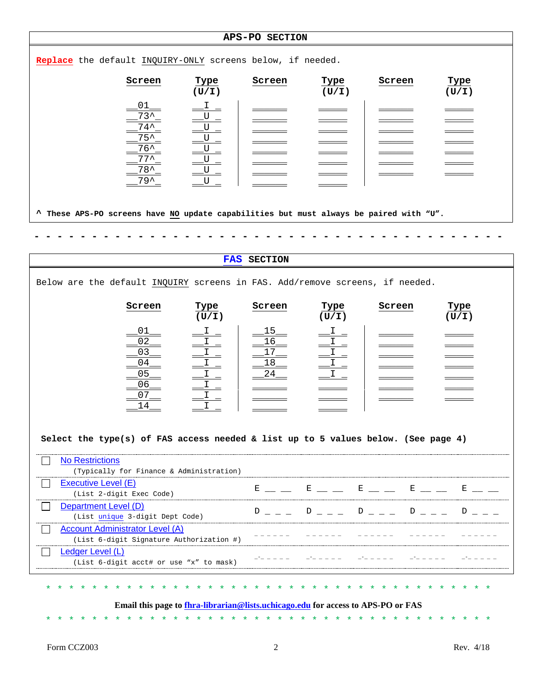| APS-PO SECTION                                                                                                                                                                   |                                     |                                                                                                |                                         |               |  |
|----------------------------------------------------------------------------------------------------------------------------------------------------------------------------------|-------------------------------------|------------------------------------------------------------------------------------------------|-----------------------------------------|---------------|--|
| Replace the default INQUIRY-ONLY screens below, if needed.                                                                                                                       |                                     |                                                                                                |                                         |               |  |
| Screen<br>Type<br>(U/I)                                                                                                                                                          | Screen                              | Type<br>(U/I)                                                                                  | Screen                                  | Type<br>(U/I) |  |
| 01<br>Ι.<br>$73^$<br>U<br>$74^{\sim}$<br>_U<br>$75^{\sim}$<br>_U<br>$76^{\sim}$<br>$U_{\perp}$<br>$77^{\sim}$<br>$U_{\perp}$<br>$78^{\sim}$<br>U<br>$\equiv$<br>$79^{\sim}$<br>U |                                     |                                                                                                |                                         |               |  |
| These APS-PO screens have NO update capabilities but must always be paired with "U".<br>$\ddot{\phantom{1}}$                                                                     |                                     |                                                                                                |                                         |               |  |
|                                                                                                                                                                                  |                                     |                                                                                                |                                         |               |  |
|                                                                                                                                                                                  | FAS SECTION                         |                                                                                                |                                         |               |  |
| Below are the default INQUIRY screens in FAS. Add/remove screens, if needed.                                                                                                     |                                     |                                                                                                |                                         |               |  |
| Screen<br>Type<br>(U/I)                                                                                                                                                          | Screen                              | Type<br>(U/I)                                                                                  | Screen                                  | Type<br>(U/L) |  |
| 01<br>$\lrcorner$ $\lrcorner$<br>02<br>03<br>04<br>05<br>06<br>$\mathbf{I}$<br>07<br>14                                                                                          | <u> 15 </u><br>16<br>17<br>18<br>24 | $ ^{\mathrm{I}}$ $-$<br>$\stackrel{\text{I}}{=}\stackrel{\text{I}}{=}$<br>$\frac{1}{\sqrt{1}}$ |                                         |               |  |
| Select the type(s) of FAS access needed $\&$ list up to 5 values below. (See page 4)<br><b>No Restrictions</b>                                                                   |                                     |                                                                                                |                                         |               |  |
| (Typically for Finance & Administration)<br>Executive Level (E)<br>(List 2-digit Exec Code)                                                                                      |                                     |                                                                                                |                                         |               |  |
| Department Level (D)<br>(List unique 3-digit Dept Code)                                                                                                                          | $\mathbf{D}$                        |                                                                                                | $D_{-} = D_{-} = D_{-} = D_{-} = D_{-}$ | $D \sim$      |  |
| <b>Account Administrator Level (A)</b><br>(List 6-digit Signature Authorization #)<br>Ledger Level (L)                                                                           |                                     |                                                                                                |                                         |               |  |
| (List 6-digit acct# or use "x" to mask)                                                                                                                                          |                                     |                                                                                                |                                         |               |  |
| Email this page to fhra-librarian@lists.uchicago.edu for access to APS-PO or FAS                                                                                                 |                                     |                                                                                                |                                         |               |  |
| * * * * * *<br>* * * * * * * *                                                                                                                                                   |                                     | $\star$ $\star$ $\star$                                                                        |                                         |               |  |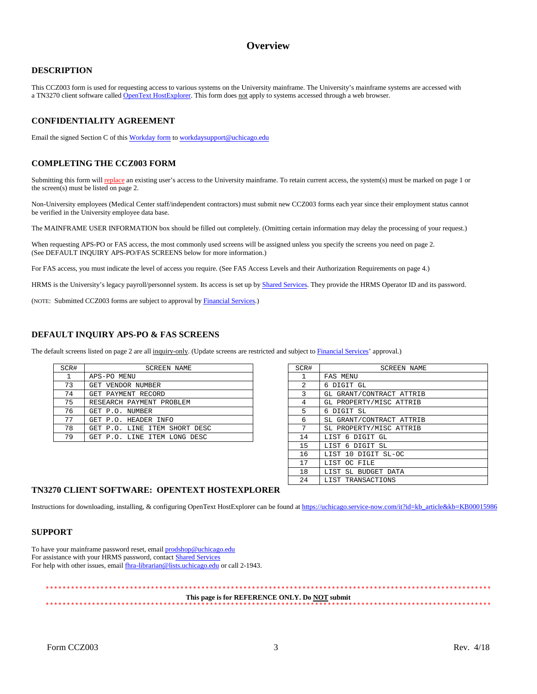### **Overview**

#### **DESCRIPTION**

This CCZ003 form is used for requesting access to various systems on the University mainframe. The University's mainframe systems are accessed with a TN3270 client software called [OpenText HostExplorer.](https://uchicago.service-now.com/it?id=kb_article&kb=KB00015986) This form does not apply to systems accessed through a web browser.

#### **CONFIDENTIALITY AGREEMENT**

Email the signed Section C of this [Workday form](https://workday.uchicago.edu/sites/workday.uchicago.edu/files/uploads/UChicago_Workday-Security-Request_Fillable.pdf) to [workdaysupport@uchicago.edu](mailto:workdaysupport@uchicago.edu)

#### **COMPLETING THE CCZ003 FORM**

Submitting this form will replace an existing user's access to the University mainframe. To retain current access, the system(s) must be marked on page 1 or the screen(s) must be listed on page 2.

Non-University employees (Medical Center staff/independent contractors) must submit new CCZ003 forms each year since their employment status cannot be verified in the University employee data base.

The MAINFRAME USER INFORMATION box should be filled out completely. (Omitting certain information may delay the processing of your request.)

When requesting APS-PO or FAS access, the most commonly used screens will be assigned unless you specify the screens you need on page 2. (See DEFAULT INQUIRY APS-PO/FAS SCREENS below for more information.)

For FAS access, you must indicate the level of access you require. (See FAS Access Levels and their Authorization Requirements on page 4.)

HRMS is the University's legacy payroll/personnel system. Its access is set up by **Shared Services**. They provide the HRMS Operator ID and its password.

(NOTE: Submitted CCZ003 forms are subject to approval by [Financial Services.\)](http://finserv.uchicago.edu/)

#### **DEFAULT INQUIRY APS-PO & FAS SCREENS**

The default screens listed on page 2 are all inquiry-only. (Update screens are restricted and subject to [Financial Services'](http://finserv.uchicago.edu/) approval.)

| SCR# | <b>SCREEN NAME</b>            | SCR# | <b>SCREEN NAME</b>       |
|------|-------------------------------|------|--------------------------|
|      | APS-PO MENU                   |      | FAS MENU                 |
| 73   | GET VENDOR NUMBER             | 2    | 6 DIGIT GL               |
| 74   | GET PAYMENT RECORD            |      | GL GRANT/CONTRACT ATTRIB |
| 75   | RESEARCH PAYMENT PROBLEM      |      | GL PROPERTY/MISC ATTRIB  |
| 76   | GET P.O. NUMBER               |      | 6 DIGIT SL               |
| 77   | GET P.O. HEADER INFO          | 6    | SL GRANT/CONTRACT ATTRIB |
| 78   | GET P.O. LINE ITEM SHORT DESC |      | SL PROPERTY/MISC ATTRIB  |
| 79   | GET P.O. LINE ITEM LONG DESC  | 14   | LIST 6 DIGIT GL          |

| SCR#         | <b>SCREEN NAME</b>       |
|--------------|--------------------------|
| $\mathbf{1}$ | FAS MENU                 |
| $\mathbf{2}$ | 6 DIGIT GL               |
| 3            | GL GRANT/CONTRACT ATTRIB |
| 4            | GL PROPERTY/MISC ATTRIB  |
| 5            | 6 DIGIT SL               |
| 6            | SL GRANT/CONTRACT ATTRIB |
| 7            | SL PROPERTY/MISC ATTRIB  |
| 14           | LIST 6 DIGIT GL          |
| 15           | LIST 6 DIGIT SL          |
| 16           | LIST 10 DIGIT SL-OC      |
| 17           | LIST OC FILE             |
| 18           | LIST SL BUDGET DATA      |
| 2.4          | LIST TRANSACTIONS        |

#### **TN3270 CLIENT SOFTWARE: OPENTEXT HOSTEXPLORER**

Instructions for downloading, installing, & configuring OpenText HostExplorer can be found a[t https://uchicago.service-now.com/it?id=kb\\_article&kb=KB00015986](https://uchicago.service-now.com/it?id=kb_article&kb=KB00015986)

#### **SUPPORT**

To have your mainframe password reset, emai[l prodshop@uchicago.edu](mailto:prodshop@uchicago.edu) For assistance with your HRMS password, contac[t Shared Services](https://services.uchicago.edu/) For help with other issues, email  $\underline{flnra-librarian@lists.uchicago.edu}$  or call 2-1943.

\*\*\*\*\*\*\*\*\*\*\*\*\*\*\*\*\*\*\*\*\*\*\*\*\*\*\*\*\*\*\*\*\*\*\*\*\*\*\*\*\*\*\*\*\*\*\*\*\*\*\*\*\*\*\*\*\*\*\*\*\*\*\*\*\*\*\*\*\*\*\*\*\*\*\*\*\*\*\*\*\*\*\*\*\*\*\*\*\*\*\*\*\*\*\*\*\*\*\*\*\*\*\*\*\*\* **This page is for REFERENCE ONLY. Do NOT submit** \*\*\*\*\*\*\*\*\*\*\*\*\*\*\*\*\*\*\*\*\*\*\*\*\*\*\*\*\*\*\*\*\*\*\*\*\*\*\*\*\*\*\*\*\*\*\*\*\*\*\*\*\*\*\*\*\*\*\*\*\*\*\*\*\*\*\*\*\*\*\*\*\*\*\*\*\*\*\*\*\*\*\*\*\*\*\*\*\*\*\*\*\*\*\*\*\*\*\*\*\*\*\*\*\*\*